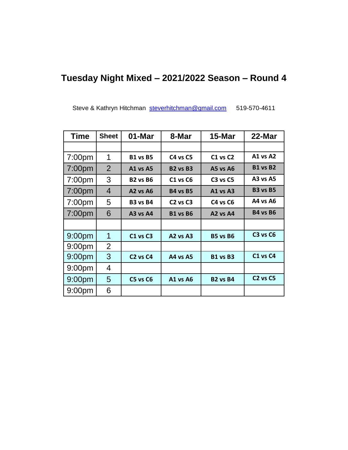## **Tuesday Night Mixed – 2021/2022 Season – Round 4**

Steve & Kathryn Hitchman [steverhitchman@gmail.com](mailto:steverhitchman@gmail.com) 519-570-4611

| <b>Time</b>        | <b>Sheet</b>   | 01-Mar                           | 8-Mar                            | 15-Mar                           | 22-Mar          |
|--------------------|----------------|----------------------------------|----------------------------------|----------------------------------|-----------------|
|                    |                |                                  |                                  |                                  |                 |
| 7:00 <sub>pm</sub> | 1              | <b>B1 vs B5</b>                  | C4 vs C5                         | $C1$ vs $C2$                     | <b>A1 vs A2</b> |
| 7:00 <sub>pm</sub> | $\overline{2}$ | <b>A1 vs A5</b>                  | <b>B2 vs B3</b>                  | <b>A5 vs A6</b>                  | <b>B1 vs B2</b> |
| 7:00pm             | 3              | <b>B2 vs B6</b>                  | <b>C1 vs C6</b>                  | <b>C3 vs C5</b>                  | <b>A3 vs A5</b> |
| 7:00 <sub>pm</sub> | 4              | $A2$ vs $A6$                     | <b>B4 vs B5</b>                  | A1 vs A3                         | <b>B3 vs B5</b> |
| 7:00 <sub>pm</sub> | 5              | <b>B3 vs B4</b>                  | C <sub>2</sub> vs C <sub>3</sub> | C4 vs C6                         | A4 vs A6        |
| 7:00 <sub>pm</sub> | 6              | $A3$ vs $A4$                     | <b>B1 vs B6</b>                  | A <sub>2</sub> vs A <sub>4</sub> | <b>B4 vs B6</b> |
|                    |                |                                  |                                  |                                  |                 |
| 9:00 <sub>pm</sub> | 1              | C1 vs C3                         | A <sub>2</sub> vs A <sub>3</sub> | <b>B5 vs B6</b>                  | <b>C3 vs C6</b> |
| 9:00 <sub>pm</sub> | 2              |                                  |                                  |                                  |                 |
| 9:00 <sub>pm</sub> | 3              | C <sub>2</sub> vs C <sub>4</sub> | A4 vs A5                         | <b>B1 vs B3</b>                  | <b>C1 vs C4</b> |
| 9:00 <sub>pm</sub> | 4              |                                  |                                  |                                  |                 |
| 9:00 <sub>pm</sub> | 5              | C5 vs C6                         | <b>A1 vs A6</b>                  | <b>B2 vs B4</b>                  | <b>C2 vs C5</b> |
| 9:00 <sub>pm</sub> | 6              |                                  |                                  |                                  |                 |